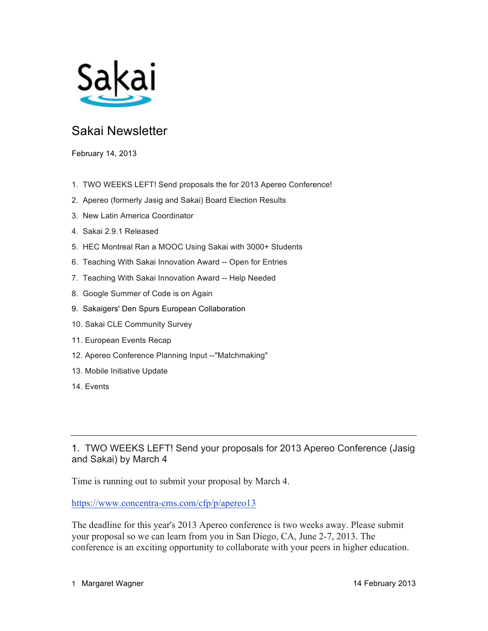

# Sakai Newsletter

February 14, 2013

- 1. TWO WEEKS LEFT! Send proposals the for 2013 Apereo Conference!
- 2. Apereo (formerly Jasig and Sakai) Board Election Results
- 3. New Latin America Coordinator
- 4. Sakai 2.9.1 Released
- 5. HEC Montreal Ran a MOOC Using Sakai with 3000+ Students
- 6. Teaching With Sakai Innovation Award -- Open for Entries
- 7. Teaching With Sakai Innovation Award -- Help Needed
- 8. Google Summer of Code is on Again
- 9. Sakaigers' Den Spurs European Collaboration
- 10. Sakai CLE Community Survey
- 11. European Events Recap
- 12. Apereo Conference Planning Input --"Matchmaking"
- 13. Mobile Initiative Update
- 14. Events

1. TWO WEEKS LEFT! Send your proposals for 2013 Apereo Conference (Jasig and Sakai) by March 4

Time is running out to submit your proposal by March 4.

https://www.concentra-cms.com/cfp/p/apereo13

The deadline for this year's 2013 Apereo conference is two weeks away. Please submit your proposal so we can learn from you in San Diego, CA, June 2-7, 2013. The conference is an exciting opportunity to collaborate with your peers in higher education.

1 Margaret Wagner 14 February 2013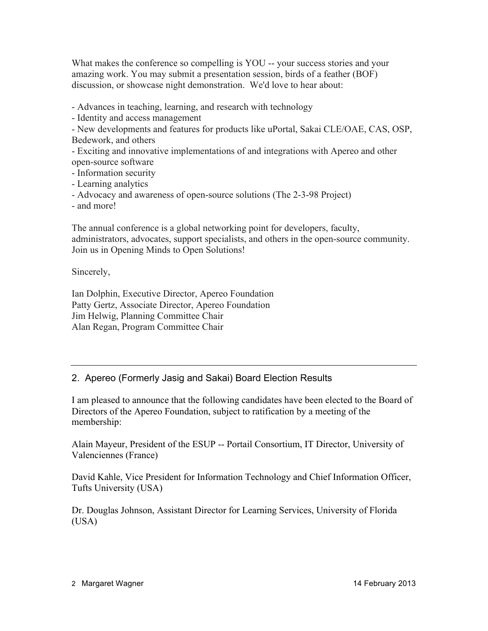What makes the conference so compelling is YOU -- your success stories and your amazing work. You may submit a presentation session, birds of a feather (BOF) discussion, or showcase night demonstration. We'd love to hear about:

- Advances in teaching, learning, and research with technology

- Identity and access management

- New developments and features for products like uPortal, Sakai CLE/OAE, CAS, OSP, Bedework, and others

- Exciting and innovative implementations of and integrations with Apereo and other open-source software

- Information security

- Learning analytics

- Advocacy and awareness of open-source solutions (The 2-3-98 Project)

- and more!

The annual conference is a global networking point for developers, faculty, administrators, advocates, support specialists, and others in the open-source community. Join us in Opening Minds to Open Solutions!

Sincerely,

Ian Dolphin, Executive Director, Apereo Foundation Patty Gertz, Associate Director, Apereo Foundation Jim Helwig, Planning Committee Chair Alan Regan, Program Committee Chair

2. Apereo (Formerly Jasig and Sakai) Board Election Results

I am pleased to announce that the following candidates have been elected to the Board of Directors of the Apereo Foundation, subject to ratification by a meeting of the membership:

Alain Mayeur, President of the ESUP -- Portail Consortium, IT Director, University of Valenciennes (France)

David Kahle, Vice President for Information Technology and Chief Information Officer, Tufts University (USA)

Dr. Douglas Johnson, Assistant Director for Learning Services, University of Florida (USA)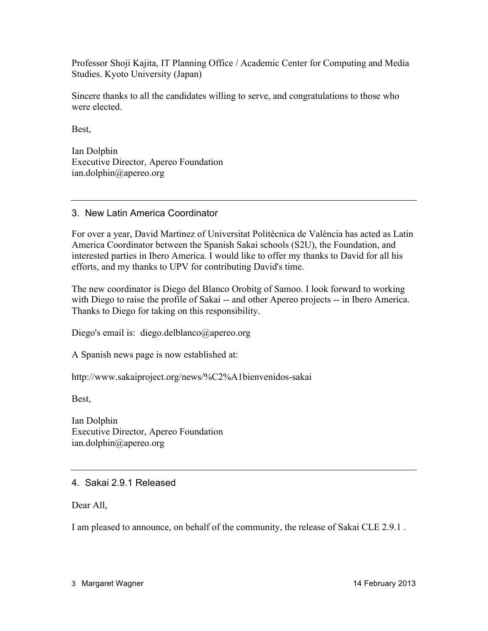Professor Shoji Kajita, IT Planning Office / Academic Center for Computing and Media Studies. Kyoto University (Japan)

Sincere thanks to all the candidates willing to serve, and congratulations to those who were elected.

Best,

Ian Dolphin Executive Director, Apereo Foundation ian.dolphin@apereo.org

3. New Latin America Coordinator

For over a year, David Martinez of Universitat Politècnica de València has acted as Latin America Coordinator between the Spanish Sakai schools (S2U), the Foundation, and interested parties in Ibero America. I would like to offer my thanks to David for all his efforts, and my thanks to UPV for contributing David's time.

The new coordinator is Diego del Blanco Orobitg of Samoo. I look forward to working with Diego to raise the profile of Sakai -- and other Apereo projects -- in Ibero America. Thanks to Diego for taking on this responsibility.

Diego's email is: diego.delblanco@apereo.org

A Spanish news page is now established at:

http://www.sakaiproject.org/news/%C2%A1bienvenidos-sakai

Best,

Ian Dolphin Executive Director, Apereo Foundation ian.dolphin@apereo.org

#### 4. Sakai 2.9.1 Released

Dear All,

I am pleased to announce, on behalf of the community, the release of Sakai CLE 2.9.1 .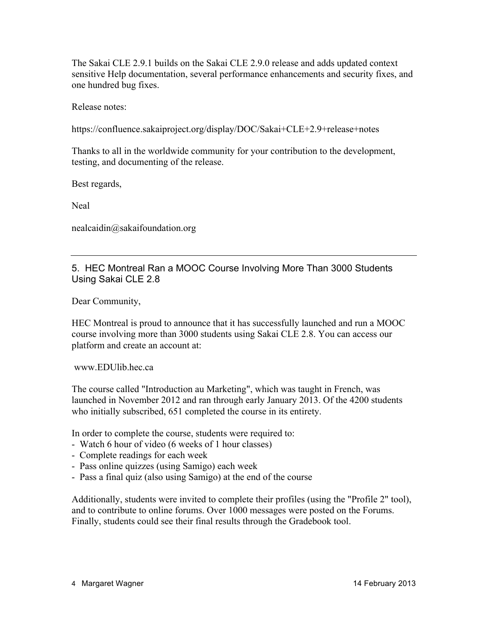The Sakai CLE 2.9.1 builds on the Sakai CLE 2.9.0 release and adds updated context sensitive Help documentation, several performance enhancements and security fixes, and one hundred bug fixes.

Release notes:

https://confluence.sakaiproject.org/display/DOC/Sakai+CLE+2.9+release+notes

Thanks to all in the worldwide community for your contribution to the development, testing, and documenting of the release.

Best regards,

Neal

nealcaidin@sakaifoundation.org

5. HEC Montreal Ran a MOOC Course Involving More Than 3000 Students Using Sakai CLE 2.8

Dear Community,

HEC Montreal is proud to announce that it has successfully launched and run a MOOC course involving more than 3000 students using Sakai CLE 2.8. You can access our platform and create an account at:

www.EDUlib.hec.ca

The course called "Introduction au Marketing", which was taught in French, was launched in November 2012 and ran through early January 2013. Of the 4200 students who initially subscribed, 651 completed the course in its entirety.

In order to complete the course, students were required to:

- Watch 6 hour of video (6 weeks of 1 hour classes)
- Complete readings for each week
- Pass online quizzes (using Samigo) each week
- Pass a final quiz (also using Samigo) at the end of the course

Additionally, students were invited to complete their profiles (using the "Profile 2" tool), and to contribute to online forums. Over 1000 messages were posted on the Forums. Finally, students could see their final results through the Gradebook tool.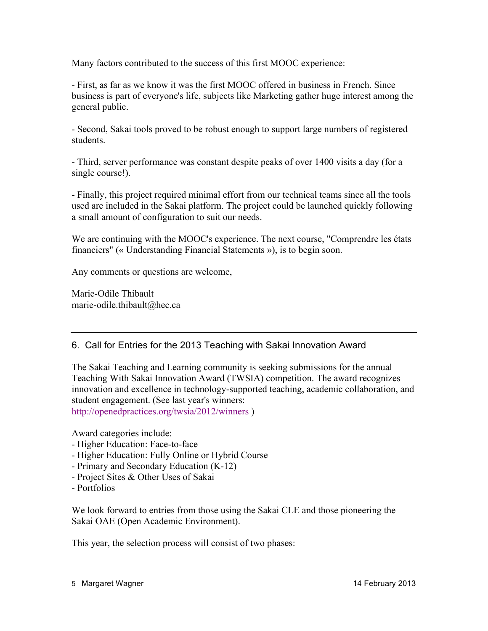Many factors contributed to the success of this first MOOC experience:

- First, as far as we know it was the first MOOC offered in business in French. Since business is part of everyone's life, subjects like Marketing gather huge interest among the general public.

- Second, Sakai tools proved to be robust enough to support large numbers of registered students.

- Third, server performance was constant despite peaks of over 1400 visits a day (for a single course!).

- Finally, this project required minimal effort from our technical teams since all the tools used are included in the Sakai platform. The project could be launched quickly following a small amount of configuration to suit our needs.

We are continuing with the MOOC's experience. The next course, "Comprendre les états financiers" (« Understanding Financial Statements »), is to begin soon.

Any comments or questions are welcome,

Marie-Odile Thibault marie-odile.thibault@hec.ca

#### 6. Call for Entries for the 2013 Teaching with Sakai Innovation Award

The Sakai Teaching and Learning community is seeking submissions for the annual Teaching With Sakai Innovation Award (TWSIA) competition. The award recognizes innovation and excellence in technology-supported teaching, academic collaboration, and student engagement. (See last year's winners: http://openedpractices.org/twsia/2012/winners )

Award categories include:

- Higher Education: Face-to-face
- Higher Education: Fully Online or Hybrid Course
- Primary and Secondary Education (K-12)
- Project Sites & Other Uses of Sakai
- Portfolios

We look forward to entries from those using the Sakai CLE and those pioneering the Sakai OAE (Open Academic Environment).

This year, the selection process will consist of two phases: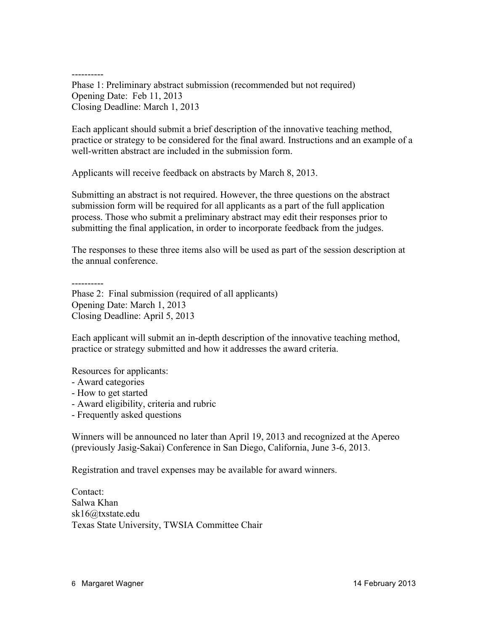---------- Phase 1: Preliminary abstract submission (recommended but not required) Opening Date: Feb 11, 2013 Closing Deadline: March 1, 2013

Each applicant should submit a brief description of the innovative teaching method, practice or strategy to be considered for the final award. Instructions and an example of a well-written abstract are included in the submission form.

Applicants will receive feedback on abstracts by March 8, 2013.

Submitting an abstract is not required. However, the three questions on the abstract submission form will be required for all applicants as a part of the full application process. Those who submit a preliminary abstract may edit their responses prior to submitting the final application, in order to incorporate feedback from the judges.

The responses to these three items also will be used as part of the session description at the annual conference.

----------

Phase 2: Final submission (required of all applicants) Opening Date: March 1, 2013 Closing Deadline: April 5, 2013

Each applicant will submit an in-depth description of the innovative teaching method, practice or strategy submitted and how it addresses the award criteria.

Resources for applicants:

- Award categories
- How to get started
- Award eligibility, criteria and rubric
- Frequently asked questions

Winners will be announced no later than April 19, 2013 and recognized at the Apereo (previously Jasig-Sakai) Conference in San Diego, California, June 3-6, 2013.

Registration and travel expenses may be available for award winners.

Contact: Salwa Khan sk16@txstate.edu Texas State University, TWSIA Committee Chair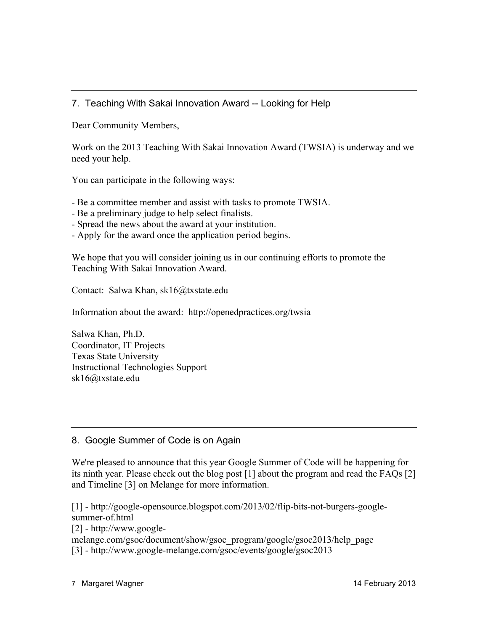# 7. Teaching With Sakai Innovation Award -- Looking for Help

Dear Community Members,

Work on the 2013 Teaching With Sakai Innovation Award (TWSIA) is underway and we need your help.

You can participate in the following ways:

- Be a committee member and assist with tasks to promote TWSIA.
- Be a preliminary judge to help select finalists.
- Spread the news about the award at your institution.
- Apply for the award once the application period begins.

We hope that you will consider joining us in our continuing efforts to promote the Teaching With Sakai Innovation Award.

Contact: Salwa Khan, sk16@txstate.edu

Information about the award: http://openedpractices.org/twsia

Salwa Khan, Ph.D. Coordinator, IT Projects Texas State University Instructional Technologies Support sk16@txstate.edu

# 8. Google Summer of Code is on Again

We're pleased to announce that this year Google Summer of Code will be happening for its ninth year. Please check out the blog post [1] about the program and read the FAQs [2] and Timeline [3] on Melange for more information.

[1] - http://google-opensource.blogspot.com/2013/02/flip-bits-not-burgers-googlesummer-of.html

[2] - http://www.google-

melange.com/gsoc/document/show/gsoc\_program/google/gsoc2013/help\_page [3] - http://www.google-melange.com/gsoc/events/google/gsoc2013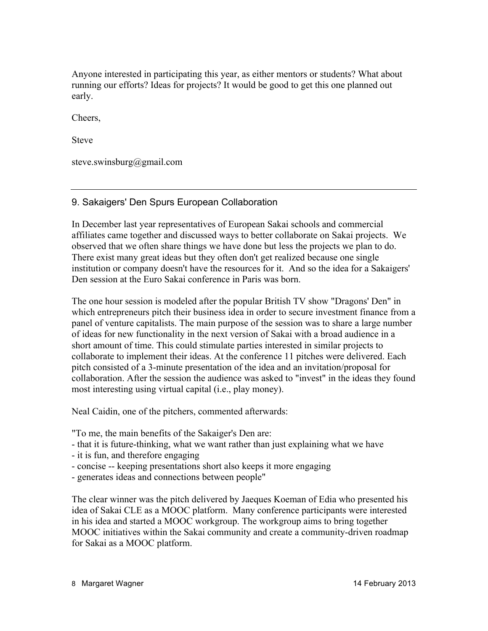Anyone interested in participating this year, as either mentors or students? What about running our efforts? Ideas for projects? It would be good to get this one planned out early.

Cheers,

Steve

steve.swinsburg@gmail.com

#### 9. Sakaigers' Den Spurs European Collaboration

In December last year representatives of European Sakai schools and commercial affiliates came together and discussed ways to better collaborate on Sakai projects. We observed that we often share things we have done but less the projects we plan to do. There exist many great ideas but they often don't get realized because one single institution or company doesn't have the resources for it. And so the idea for a Sakaigers' Den session at the Euro Sakai conference in Paris was born.

The one hour session is modeled after the popular British TV show "Dragons' Den" in which entrepreneurs pitch their business idea in order to secure investment finance from a panel of venture capitalists. The main purpose of the session was to share a large number of ideas for new functionality in the next version of Sakai with a broad audience in a short amount of time. This could stimulate parties interested in similar projects to collaborate to implement their ideas. At the conference 11 pitches were delivered. Each pitch consisted of a 3-minute presentation of the idea and an invitation/proposal for collaboration. After the session the audience was asked to "invest" in the ideas they found most interesting using virtual capital (i.e., play money).

Neal Caidin, one of the pitchers, commented afterwards:

"To me, the main benefits of the Sakaiger's Den are:

- that it is future-thinking, what we want rather than just explaining what we have
- it is fun, and therefore engaging
- concise -- keeping presentations short also keeps it more engaging
- generates ideas and connections between people"

The clear winner was the pitch delivered by Jaeques Koeman of Edia who presented his idea of Sakai CLE as a MOOC platform. Many conference participants were interested in his idea and started a MOOC workgroup. The workgroup aims to bring together MOOC initiatives within the Sakai community and create a community-driven roadmap for Sakai as a MOOC platform.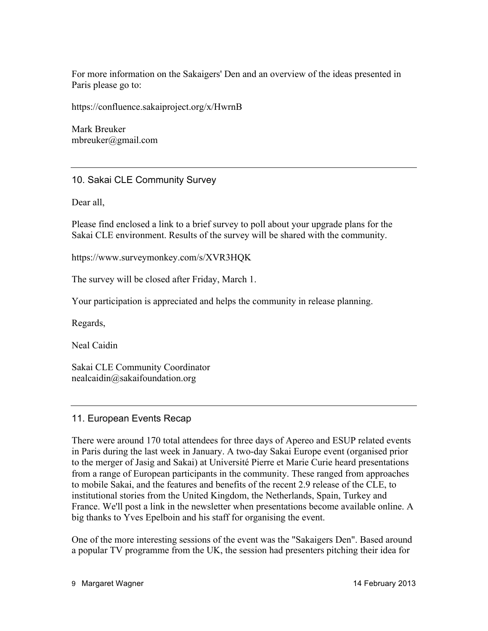For more information on the Sakaigers' Den and an overview of the ideas presented in Paris please go to:

https://confluence.sakaiproject.org/x/HwrnB

Mark Breuker mbreuker@gmail.com

#### 10. Sakai CLE Community Survey

Dear all,

Please find enclosed a link to a brief survey to poll about your upgrade plans for the Sakai CLE environment. Results of the survey will be shared with the community.

https://www.surveymonkey.com/s/XVR3HQK

The survey will be closed after Friday, March 1.

Your participation is appreciated and helps the community in release planning.

Regards,

Neal Caidin

Sakai CLE Community Coordinator nealcaidin@sakaifoundation.org

#### 11. European Events Recap

There were around 170 total attendees for three days of Apereo and ESUP related events in Paris during the last week in January. A two-day Sakai Europe event (organised prior to the merger of Jasig and Sakai) at Université Pierre et Marie Curie heard presentations from a range of European participants in the community. These ranged from approaches to mobile Sakai, and the features and benefits of the recent 2.9 release of the CLE, to institutional stories from the United Kingdom, the Netherlands, Spain, Turkey and France. We'll post a link in the newsletter when presentations become available online. A big thanks to Yves Epelboin and his staff for organising the event.

One of the more interesting sessions of the event was the "Sakaigers Den". Based around a popular TV programme from the UK, the session had presenters pitching their idea for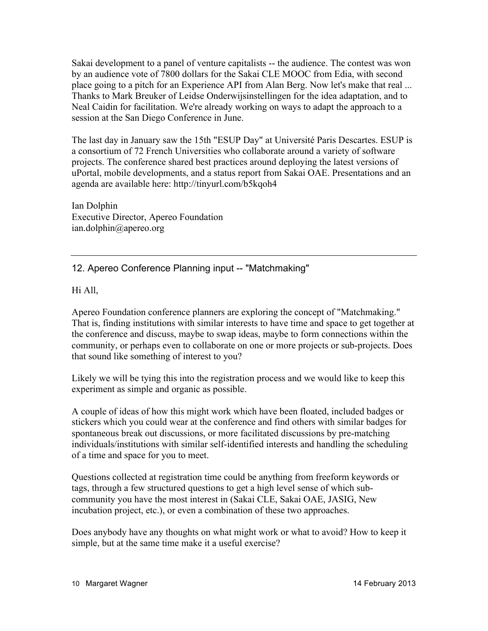Sakai development to a panel of venture capitalists -- the audience. The contest was won by an audience vote of 7800 dollars for the Sakai CLE MOOC from Edia, with second place going to a pitch for an Experience API from Alan Berg. Now let's make that real ... Thanks to Mark Breuker of Leidse Onderwijsinstellingen for the idea adaptation, and to Neal Caidin for facilitation. We're already working on ways to adapt the approach to a session at the San Diego Conference in June.

The last day in January saw the 15th "ESUP Day" at Université Paris Descartes. ESUP is a consortium of 72 French Universities who collaborate around a variety of software projects. The conference shared best practices around deploying the latest versions of uPortal, mobile developments, and a status report from Sakai OAE. Presentations and an agenda are available here: http://tinyurl.com/b5kqoh4

Ian Dolphin Executive Director, Apereo Foundation ian.dolphin@apereo.org

# 12. Apereo Conference Planning input -- "Matchmaking"

Hi All,

Apereo Foundation conference planners are exploring the concept of "Matchmaking." That is, finding institutions with similar interests to have time and space to get together at the conference and discuss, maybe to swap ideas, maybe to form connections within the community, or perhaps even to collaborate on one or more projects or sub-projects. Does that sound like something of interest to you?

Likely we will be tying this into the registration process and we would like to keep this experiment as simple and organic as possible.

A couple of ideas of how this might work which have been floated, included badges or stickers which you could wear at the conference and find others with similar badges for spontaneous break out discussions, or more facilitated discussions by pre-matching individuals/institutions with similar self-identified interests and handling the scheduling of a time and space for you to meet.

Questions collected at registration time could be anything from freeform keywords or tags, through a few structured questions to get a high level sense of which subcommunity you have the most interest in (Sakai CLE, Sakai OAE, JASIG, New incubation project, etc.), or even a combination of these two approaches.

Does anybody have any thoughts on what might work or what to avoid? How to keep it simple, but at the same time make it a useful exercise?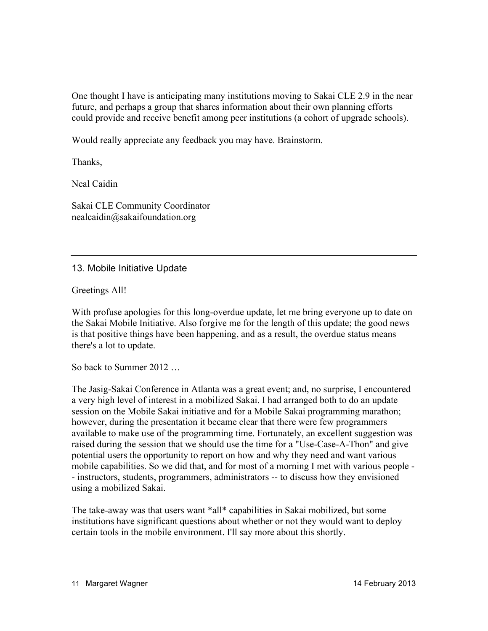One thought I have is anticipating many institutions moving to Sakai CLE 2.9 in the near future, and perhaps a group that shares information about their own planning efforts could provide and receive benefit among peer institutions (a cohort of upgrade schools).

Would really appreciate any feedback you may have. Brainstorm.

Thanks,

Neal Caidin

Sakai CLE Community Coordinator nealcaidin@sakaifoundation.org

13. Mobile Initiative Update

Greetings All!

With profuse apologies for this long-overdue update, let me bring everyone up to date on the Sakai Mobile Initiative. Also forgive me for the length of this update; the good news is that positive things have been happening, and as a result, the overdue status means there's a lot to update.

So back to Summer 2012 …

The Jasig-Sakai Conference in Atlanta was a great event; and, no surprise, I encountered a very high level of interest in a mobilized Sakai. I had arranged both to do an update session on the Mobile Sakai initiative and for a Mobile Sakai programming marathon; however, during the presentation it became clear that there were few programmers available to make use of the programming time. Fortunately, an excellent suggestion was raised during the session that we should use the time for a "Use-Case-A-Thon" and give potential users the opportunity to report on how and why they need and want various mobile capabilities. So we did that, and for most of a morning I met with various people - - instructors, students, programmers, administrators -- to discuss how they envisioned using a mobilized Sakai.

The take-away was that users want \*all\* capabilities in Sakai mobilized, but some institutions have significant questions about whether or not they would want to deploy certain tools in the mobile environment. I'll say more about this shortly.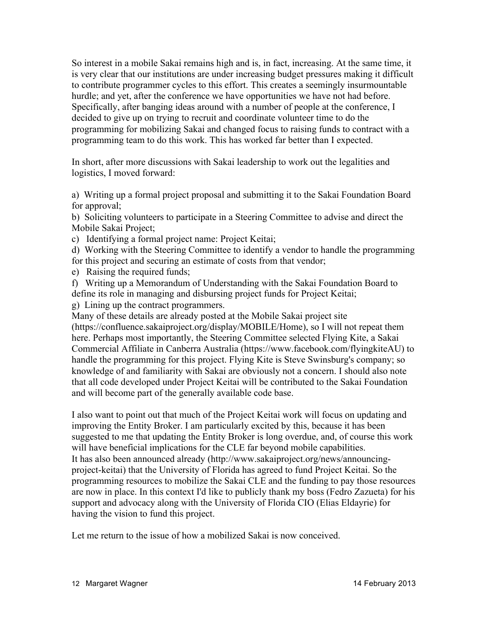So interest in a mobile Sakai remains high and is, in fact, increasing. At the same time, it is very clear that our institutions are under increasing budget pressures making it difficult to contribute programmer cycles to this effort. This creates a seemingly insurmountable hurdle; and yet, after the conference we have opportunities we have not had before. Specifically, after banging ideas around with a number of people at the conference, I decided to give up on trying to recruit and coordinate volunteer time to do the programming for mobilizing Sakai and changed focus to raising funds to contract with a programming team to do this work. This has worked far better than I expected.

In short, after more discussions with Sakai leadership to work out the legalities and logistics, I moved forward:

a) Writing up a formal project proposal and submitting it to the Sakai Foundation Board for approval;

b) Soliciting volunteers to participate in a Steering Committee to advise and direct the Mobile Sakai Project;

c) Identifying a formal project name: Project Keitai;

d) Working with the Steering Committee to identify a vendor to handle the programming for this project and securing an estimate of costs from that vendor;

e) Raising the required funds;

f) Writing up a Memorandum of Understanding with the Sakai Foundation Board to define its role in managing and disbursing project funds for Project Keitai;

g) Lining up the contract programmers.

Many of these details are already posted at the Mobile Sakai project site (https://confluence.sakaiproject.org/display/MOBILE/Home), so I will not repeat them here. Perhaps most importantly, the Steering Committee selected Flying Kite, a Sakai Commercial Affiliate in Canberra Australia (https://www.facebook.com/flyingkiteAU) to handle the programming for this project. Flying Kite is Steve Swinsburg's company; so knowledge of and familiarity with Sakai are obviously not a concern. I should also note that all code developed under Project Keitai will be contributed to the Sakai Foundation and will become part of the generally available code base.

I also want to point out that much of the Project Keitai work will focus on updating and improving the Entity Broker. I am particularly excited by this, because it has been suggested to me that updating the Entity Broker is long overdue, and, of course this work will have beneficial implications for the CLE far beyond mobile capabilities. It has also been announced already (http://www.sakaiproject.org/news/announcingproject-keitai) that the University of Florida has agreed to fund Project Keitai. So the programming resources to mobilize the Sakai CLE and the funding to pay those resources are now in place. In this context I'd like to publicly thank my boss (Fedro Zazueta) for his support and advocacy along with the University of Florida CIO (Elias Eldayrie) for having the vision to fund this project.

Let me return to the issue of how a mobilized Sakai is now conceived.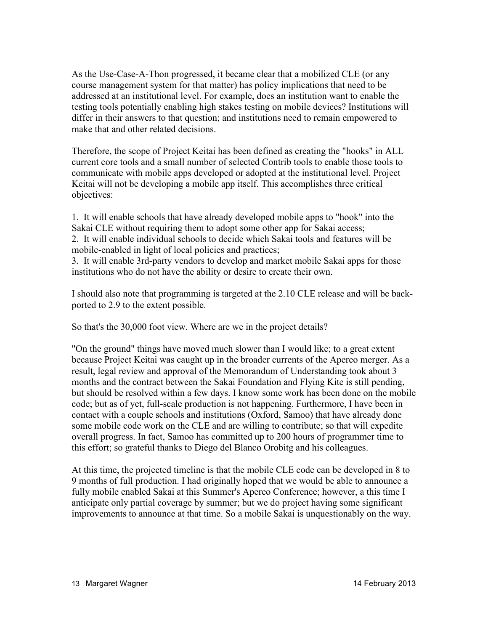As the Use-Case-A-Thon progressed, it became clear that a mobilized CLE (or any course management system for that matter) has policy implications that need to be addressed at an institutional level. For example, does an institution want to enable the testing tools potentially enabling high stakes testing on mobile devices? Institutions will differ in their answers to that question; and institutions need to remain empowered to make that and other related decisions.

Therefore, the scope of Project Keitai has been defined as creating the "hooks" in ALL current core tools and a small number of selected Contrib tools to enable those tools to communicate with mobile apps developed or adopted at the institutional level. Project Keitai will not be developing a mobile app itself. This accomplishes three critical objectives:

1. It will enable schools that have already developed mobile apps to "hook" into the Sakai CLE without requiring them to adopt some other app for Sakai access; 2. It will enable individual schools to decide which Sakai tools and features will be mobile-enabled in light of local policies and practices;

3. It will enable 3rd-party vendors to develop and market mobile Sakai apps for those institutions who do not have the ability or desire to create their own.

I should also note that programming is targeted at the 2.10 CLE release and will be backported to 2.9 to the extent possible.

So that's the 30,000 foot view. Where are we in the project details?

"On the ground" things have moved much slower than I would like; to a great extent because Project Keitai was caught up in the broader currents of the Apereo merger. As a result, legal review and approval of the Memorandum of Understanding took about 3 months and the contract between the Sakai Foundation and Flying Kite is still pending, but should be resolved within a few days. I know some work has been done on the mobile code; but as of yet, full-scale production is not happening. Furthermore, I have been in contact with a couple schools and institutions (Oxford, Samoo) that have already done some mobile code work on the CLE and are willing to contribute; so that will expedite overall progress. In fact, Samoo has committed up to 200 hours of programmer time to this effort; so grateful thanks to Diego del Blanco Orobitg and his colleagues.

At this time, the projected timeline is that the mobile CLE code can be developed in 8 to 9 months of full production. I had originally hoped that we would be able to announce a fully mobile enabled Sakai at this Summer's Apereo Conference; however, a this time I anticipate only partial coverage by summer; but we do project having some significant improvements to announce at that time. So a mobile Sakai is unquestionably on the way.